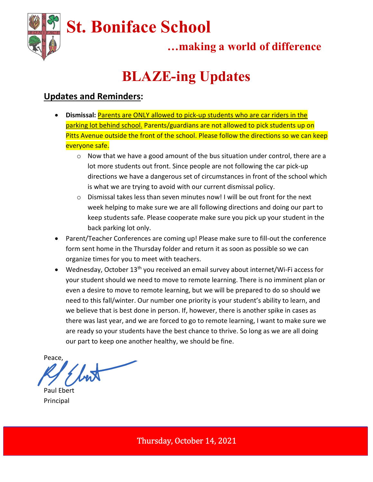

## …making a world of difference

# BLAZE-ing Updates

### Updates and Reminders:

- Dismissal: **Parents are ONLY allowed to pick-up students who are car riders in the** parking lot behind school. Parents/guardians are not allowed to pick students up on Pitts Avenue outside the front of the school. Please follow the directions so we can keep everyone safe.
	- $\circ$  Now that we have a good amount of the bus situation under control, there are a lot more students out front. Since people are not following the car pick-up directions we have a dangerous set of circumstances in front of the school which is what we are trying to avoid with our current dismissal policy.
	- $\circ$  Dismissal takes less than seven minutes now! I will be out front for the next week helping to make sure we are all following directions and doing our part to keep students safe. Please cooperate make sure you pick up your student in the back parking lot only.
- Parent/Teacher Conferences are coming up! Please make sure to fill-out the conference form sent home in the Thursday folder and return it as soon as possible so we can organize times for you to meet with teachers.
- $\bullet$  Wednesday, October 13<sup>th</sup> you received an email survey about internet/Wi-Fi access for your student should we need to move to remote learning. There is no imminent plan or even a desire to move to remote learning, but we will be prepared to do so should we need to this fall/winter. Our number one priority is your student's ability to learn, and we believe that is best done in person. If, however, there is another spike in cases as there was last year, and we are forced to go to remote learning, I want to make sure we are ready so your students have the best chance to thrive. So long as we are all doing our part to keep one another healthy, we should be fine.

Peace,

Paul Ebert Principal